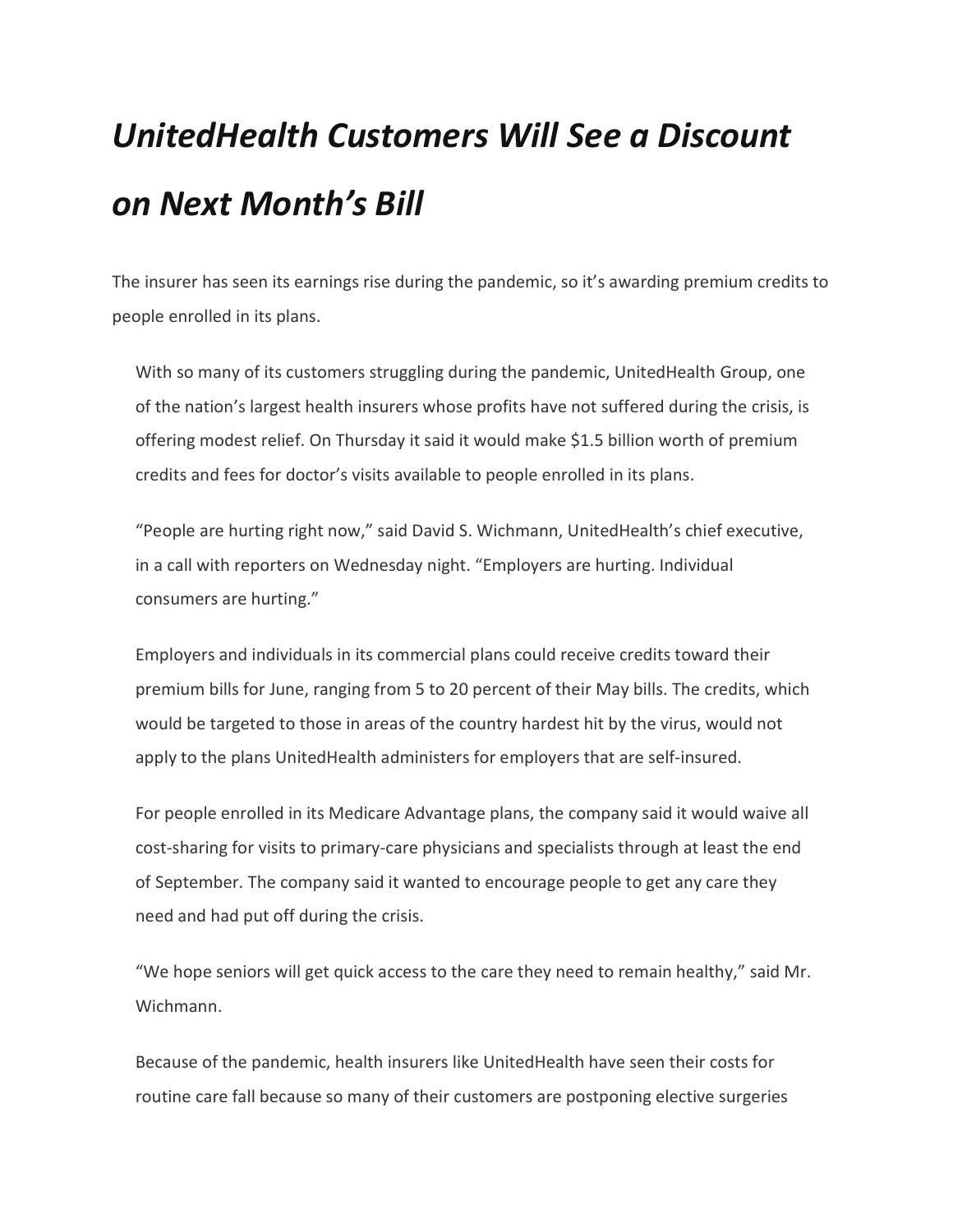## UnitedHealth Customers Will See a Discount on Next Month's Bill

The insurer has seen its earnings rise during the pandemic, so it's awarding premium credits to people enrolled in its plans.

With so many of its customers struggling during the pandemic, UnitedHealth Group, one of the nation's largest health insurers whose profits have not suffered during the crisis, is offering modest relief. On Thursday it said it would make \$1.5 billion worth of premium credits and fees for doctor's visits available to people enrolled in its plans.

"People are hurting right now," said David S. Wichmann, UnitedHealth's chief executive, in a call with reporters on Wednesday night. "Employers are hurting. Individual consumers are hurting."

Employers and individuals in its commercial plans could receive credits toward their premium bills for June, ranging from 5 to 20 percent of their May bills. The credits, which would be targeted to those in areas of the country hardest hit by the virus, would not apply to the plans UnitedHealth administers for employers that are self-insured.

For people enrolled in its Medicare Advantage plans, the company said it would waive all cost-sharing for visits to primary-care physicians and specialists through at least the end of September. The company said it wanted to encourage people to get any care they need and had put off during the crisis.

"We hope seniors will get quick access to the care they need to remain healthy," said Mr. Wichmann.

Because of the pandemic, health insurers like UnitedHealth have seen their costs for routine care fall because so many of their customers are postponing elective surgeries